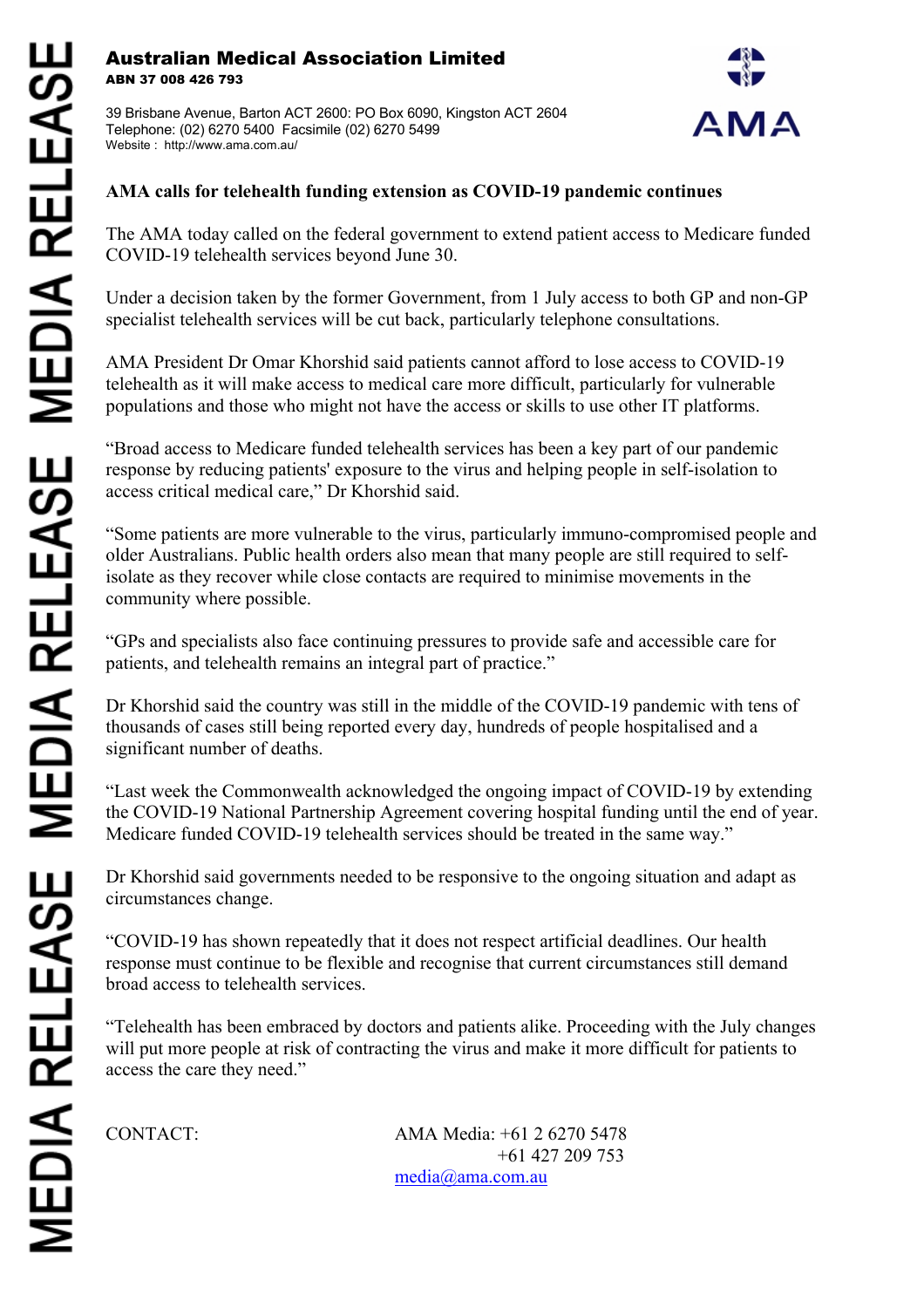## Australian Medical Association Limited ABN 37 008 426 793

39 Brisbane Avenue, Barton ACT 2600: PO Box 6090, Kingston ACT 2604 Telephone: (02) 6270 5400 Facsimile (02) 6270 5499 Website : http://www.ama.com.au/



## **AMA calls for telehealth funding extension as COVID-19 pandemic continues**

The AMA today called on the federal government to extend patient access to Medicare funded COVID-19 telehealth services beyond June 30.

Under a decision taken by the former Government, from 1 July access to both GP and non-GP specialist telehealth services will be cut back, particularly telephone consultations.

AMA President Dr Omar Khorshid said patients cannot afford to lose access to COVID-19 telehealth as it will make access to medical care more difficult, particularly for vulnerable populations and those who might not have the access or skills to use other IT platforms.

"Broad access to Medicare funded telehealth services has been a key part of our pandemic response by reducing patients' exposure to the virus and helping people in self-isolation to access critical medical care," Dr Khorshid said.

"Some patients are more vulnerable to the virus, particularly immuno-compromised people and older Australians. Public health orders also mean that many people are still required to selfisolate as they recover while close contacts are required to minimise movements in the community where possible.

"GPs and specialists also face continuing pressures to provide safe and accessible care for patients, and telehealth remains an integral part of practice."

Dr Khorshid said the country was still in the middle of the COVID-19 pandemic with tens of thousands of cases still being reported every day, hundreds of people hospitalised and a significant number of deaths.

"Last week the Commonwealth acknowledged the ongoing impact of COVID-19 by extending the COVID-19 National Partnership Agreement covering hospital funding until the end of year. Medicare funded COVID-19 telehealth services should be treated in the same way."

Dr Khorshid said governments needed to be responsive to the ongoing situation and adapt as circumstances change.

"COVID-19 has shown repeatedly that it does not respect artificial deadlines. Our health response must continue to be flexible and recognise that current circumstances still demand broad access to telehealth services.

"Telehealth has been embraced by doctors and patients alike. Proceeding with the July changes will put more people at risk of contracting the virus and make it more difficult for patients to access the care they need."

CONTACT: AMA Media: +61 2 6270 5478 +61 427 209 753 media@ama.com.au